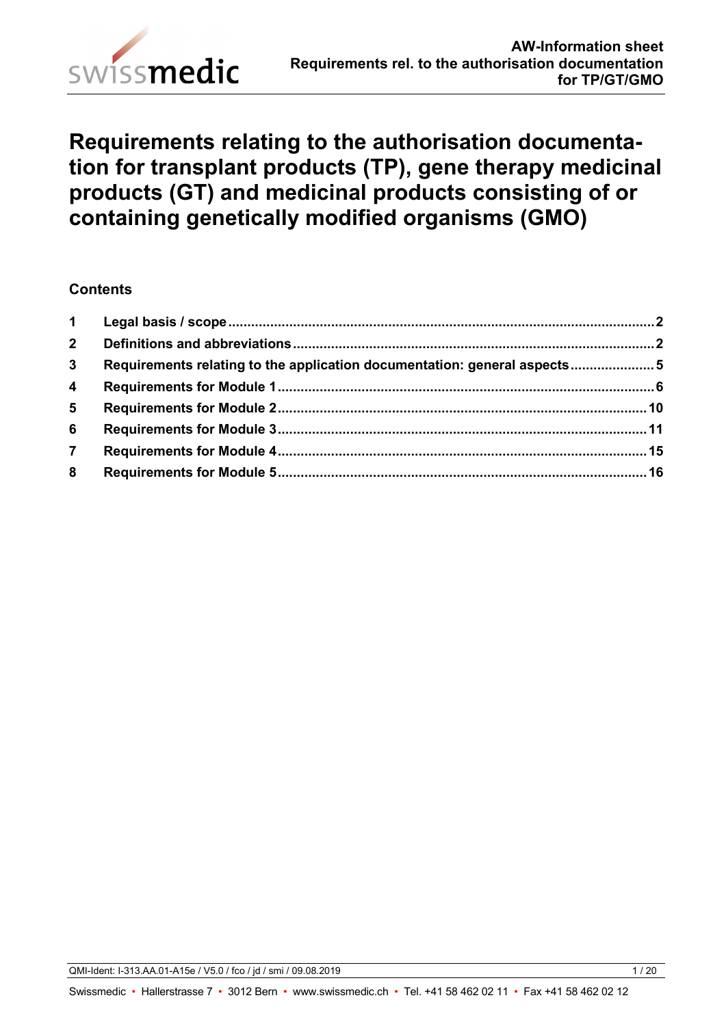

# **Requirements relating to the authorisation documentation for transplant products (TP), gene therapy medicinal products (GT) and medicinal products consisting of or containing genetically modified organisms (GMO)**

## **Contents**

| 1 <sup>1</sup>          |                                                                          |  |
|-------------------------|--------------------------------------------------------------------------|--|
| 2 <sup>7</sup>          |                                                                          |  |
| $\mathbf{3}$            | Requirements relating to the application documentation: general aspects5 |  |
| $\overline{\mathbf{4}}$ |                                                                          |  |
| 5 <sup>5</sup>          |                                                                          |  |
| 6                       |                                                                          |  |
| $\overline{7}$          |                                                                          |  |
| 8                       |                                                                          |  |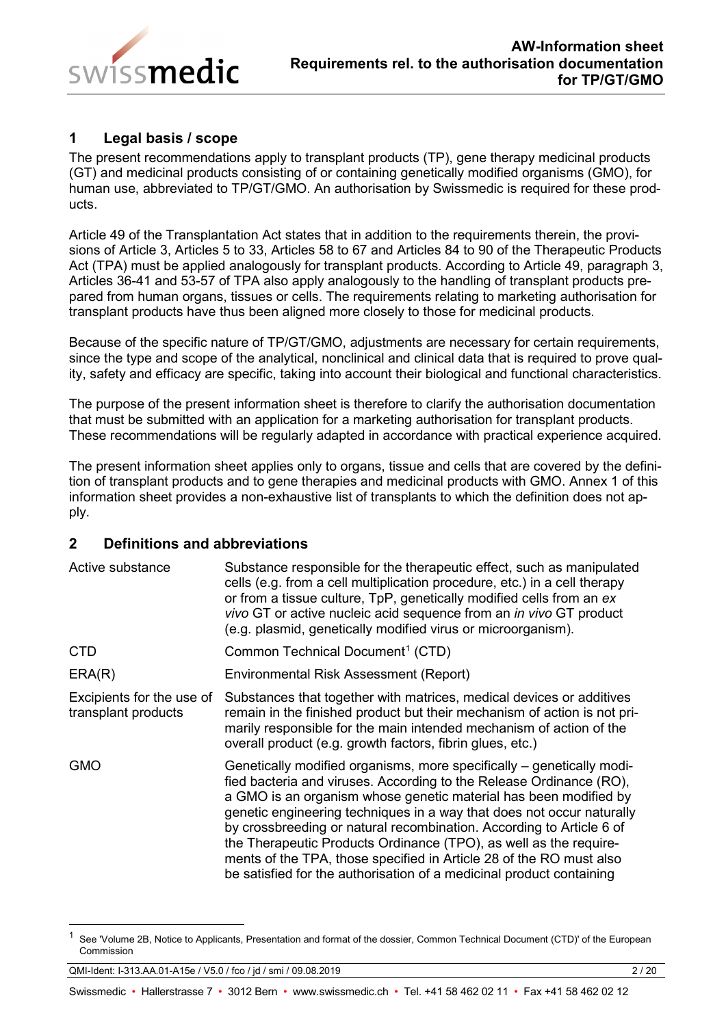

# <span id="page-1-0"></span>**1 Legal basis / scope**

The present recommendations apply to transplant products (TP), gene therapy medicinal products (GT) and medicinal products consisting of or containing genetically modified organisms (GMO), for human use, abbreviated to TP/GT/GMO. An authorisation by Swissmedic is required for these products.

Article 49 of the Transplantation Act states that in addition to the requirements therein, the provisions of Article 3, Articles 5 to 33, Articles 58 to 67 and Articles 84 to 90 of the Therapeutic Products Act (TPA) must be applied analogously for transplant products. According to Article 49, paragraph 3, Articles 36-41 and 53-57 of TPA also apply analogously to the handling of transplant products prepared from human organs, tissues or cells. The requirements relating to marketing authorisation for transplant products have thus been aligned more closely to those for medicinal products.

Because of the specific nature of TP/GT/GMO, adjustments are necessary for certain requirements, since the type and scope of the analytical, nonclinical and clinical data that is required to prove quality, safety and efficacy are specific, taking into account their biological and functional characteristics.

The purpose of the present information sheet is therefore to clarify the authorisation documentation that must be submitted with an application for a marketing authorisation for transplant products. These recommendations will be regularly adapted in accordance with practical experience acquired.

The present information sheet applies only to organs, tissue and cells that are covered by the definition of transplant products and to gene therapies and medicinal products with GMO. Annex 1 of this information sheet provides a non-exhaustive list of transplants to which the definition does not apply.

## <span id="page-1-1"></span>**2 Definitions and abbreviations**

| Active substance                                 | Substance responsible for the therapeutic effect, such as manipulated<br>cells (e.g. from a cell multiplication procedure, etc.) in a cell therapy<br>or from a tissue culture, TpP, genetically modified cells from an ex<br>vivo GT or active nucleic acid sequence from an in vivo GT product<br>(e.g. plasmid, genetically modified virus or microorganism).                                                                                                                                                                                                                      |
|--------------------------------------------------|---------------------------------------------------------------------------------------------------------------------------------------------------------------------------------------------------------------------------------------------------------------------------------------------------------------------------------------------------------------------------------------------------------------------------------------------------------------------------------------------------------------------------------------------------------------------------------------|
| <b>CTD</b>                                       | Common Technical Document <sup>1</sup> (CTD)                                                                                                                                                                                                                                                                                                                                                                                                                                                                                                                                          |
| ERA(R)                                           | Environmental Risk Assessment (Report)                                                                                                                                                                                                                                                                                                                                                                                                                                                                                                                                                |
| Excipients for the use of<br>transplant products | Substances that together with matrices, medical devices or additives<br>remain in the finished product but their mechanism of action is not pri-<br>marily responsible for the main intended mechanism of action of the<br>overall product (e.g. growth factors, fibrin glues, etc.)                                                                                                                                                                                                                                                                                                  |
| <b>GMO</b>                                       | Genetically modified organisms, more specifically – genetically modi-<br>fied bacteria and viruses. According to the Release Ordinance (RO),<br>a GMO is an organism whose genetic material has been modified by<br>genetic engineering techniques in a way that does not occur naturally<br>by crossbreeding or natural recombination. According to Article 6 of<br>the Therapeutic Products Ordinance (TPO), as well as the require-<br>ments of the TPA, those specified in Article 28 of the RO must also<br>be satisfied for the authorisation of a medicinal product containing |

QMI-Ident: I-313.AA.01-A15e / V5.0 / fco / jd / smi / 09.08.2019 2 / 20

<span id="page-1-2"></span>See 'Volume 2B, Notice to Applicants, Presentation and format of the dossier, Common Technical Document (CTD)' of the European Commission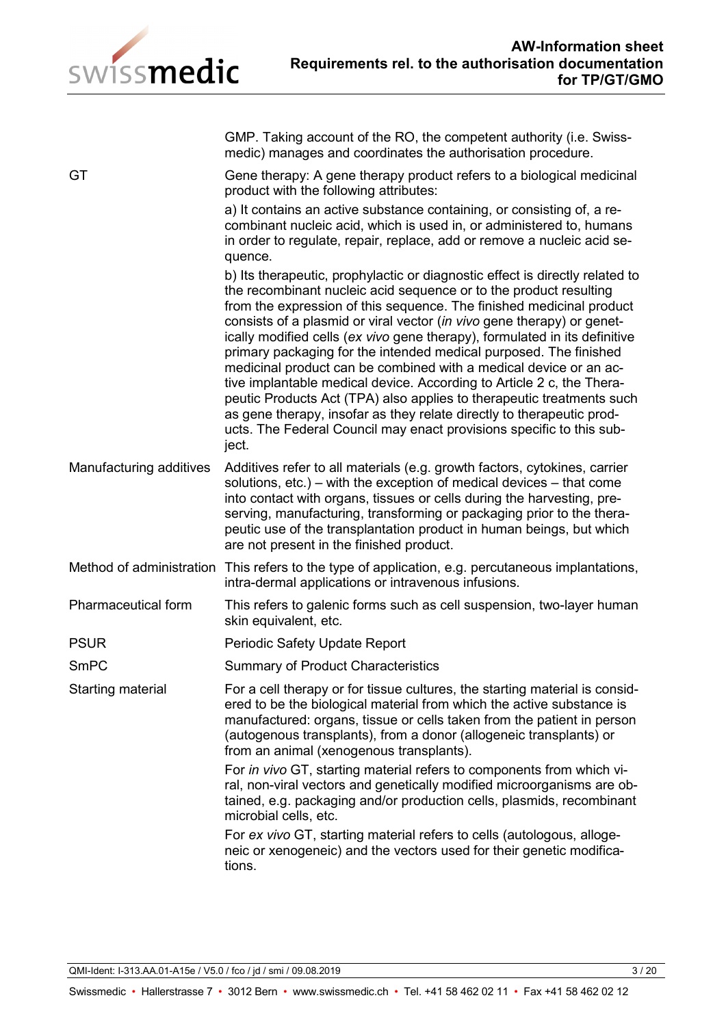

GMP. Taking account of the RO, the competent authority (i.e. Swissmedic) manages and coordinates the authorisation procedure.

GT GENE GENE GENE GENERAL GENERAL GENERAL GENERAL GENERAL GENERAL GENERAL GENERAL GENERAL GENERAL GENERAL GENERAL GENERAL GENERAL GENERAL GENERAL GENERAL GENERAL GENERAL GENERAL GENERAL GENERAL GENERAL GENERAL GENERAL GENE product with the following attributes: a) It contains an active substance containing, or consisting of, a recombinant nucleic acid, which is used in, or administered to, humans in order to regulate, repair, replace, add or remove a nucleic acid sequence. b) Its therapeutic, prophylactic or diagnostic effect is directly related to the recombinant nucleic acid sequence or to the product resulting from the expression of this sequence. The finished medicinal product

consists of a plasmid or viral vector (*in vivo* gene therapy) or genetically modified cells (*ex vivo* gene therapy), formulated in its definitive primary packaging for the intended medical purposed. The finished medicinal product can be combined with a medical device or an active implantable medical device. According to Article 2 c, the Therapeutic Products Act (TPA) also applies to therapeutic treatments such as gene therapy, insofar as they relate directly to therapeutic products. The Federal Council may enact provisions specific to this subject.

Manufacturing additives Additives refer to all materials (e.g. growth factors, cytokines, carrier solutions, etc.) – with the exception of medical devices – that come into contact with organs, tissues or cells during the harvesting, preserving, manufacturing, transforming or packaging prior to the therapeutic use of the transplantation product in human beings, but which are not present in the finished product.

- Method of administration This refers to the type of application, e.g. percutaneous implantations, intra-dermal applications or intravenous infusions.
- Pharmaceutical form This refers to galenic forms such as cell suspension, two-layer human skin equivalent, etc.
- PSUR PERIODIC Safety Update Report
- SmPC Summary of Product Characteristics

Starting material For a cell therapy or for tissue cultures, the starting material is considered to be the biological material from which the active substance is manufactured: organs, tissue or cells taken from the patient in person (autogenous transplants), from a donor (allogeneic transplants) or from an animal (xenogenous transplants).

> For *in vivo* GT, starting material refers to components from which viral, non-viral vectors and genetically modified microorganisms are obtained, e.g. packaging and/or production cells, plasmids, recombinant microbial cells, etc.

For *ex vivo* GT, starting material refers to cells (autologous, allogeneic or xenogeneic) and the vectors used for their genetic modifications.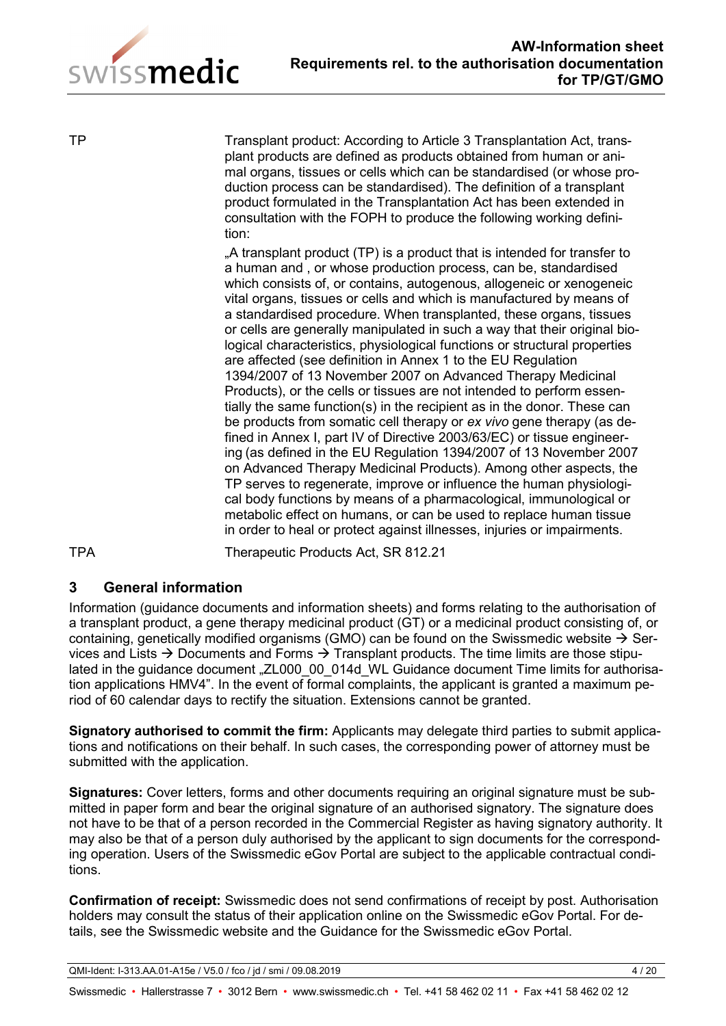

TP Transplant product: According to Article 3 Transplantation Act, transplant products are defined as products obtained from human or animal organs, tissues or cells which can be standardised (or whose production process can be standardised). The definition of a transplant product formulated in the Transplantation Act has been extended in consultation with the FOPH to produce the following working definition:

> "A transplant product (TP) is a product that is intended for transfer to a human and , or whose production process, can be, standardised which consists of, or contains, autogenous, allogeneic or xenogeneic vital organs, tissues or cells and which is manufactured by means of a standardised procedure. When transplanted, these organs, tissues or cells are generally manipulated in such a way that their original biological characteristics, physiological functions or structural properties are affected (see definition in Annex 1 to the EU Regulation 1394/2007 of 13 November 2007 on Advanced Therapy Medicinal Products), or the cells or tissues are not intended to perform essentially the same function(s) in the recipient as in the donor. These can be products from somatic cell therapy or *ex vivo* gene therapy (as defined in Annex I, part IV of Directive 2003/63/EC) or tissue engineering (as defined in the EU Regulation 1394/2007 of 13 November 2007 on Advanced Therapy Medicinal Products). Among other aspects, the TP serves to regenerate, improve or influence the human physiological body functions by means of a pharmacological, immunological or metabolic effect on humans, or can be used to replace human tissue in order to heal or protect against illnesses, injuries or impairments.

TPA Therapeutic Products Act, SR 812.21

# **3 General information**

Information (guidance documents and information sheets) and forms relating to the authorisation of a transplant product, a gene therapy medicinal product (GT) or a medicinal product consisting of, or containing, genetically modified organisms (GMO) can be found on the Swissmedic website  $\rightarrow$  Services and Lists  $\rightarrow$  Documents and Forms  $\rightarrow$  Transplant products. The time limits are those stipulated in the guidance document "ZL000 00 014d WL Guidance document Time limits for authorisation applications HMV4". In the event of formal complaints, the applicant is granted a maximum period of 60 calendar days to rectify the situation. Extensions cannot be granted.

**Signatory authorised to commit the firm:** Applicants may delegate third parties to submit applications and notifications on their behalf. In such cases, the corresponding power of attorney must be submitted with the application.

**Signatures:** Cover letters, forms and other documents requiring an original signature must be submitted in paper form and bear the original signature of an authorised signatory. The signature does not have to be that of a person recorded in the Commercial Register as having signatory authority. It may also be that of a person duly authorised by the applicant to sign documents for the corresponding operation. Users of the Swissmedic eGov Portal are subject to the applicable contractual conditions.

**Confirmation of receipt:** Swissmedic does not send confirmations of receipt by post. Authorisation holders may consult the status of their application online on the Swissmedic eGov Portal. For details, see the Swissmedic website and the Guidance for the Swissmedic eGov Portal.

QMI-Ident: I-313.AA.01-A15e / V5.0 / fco / jd / smi / 09.08.2019 4 / 20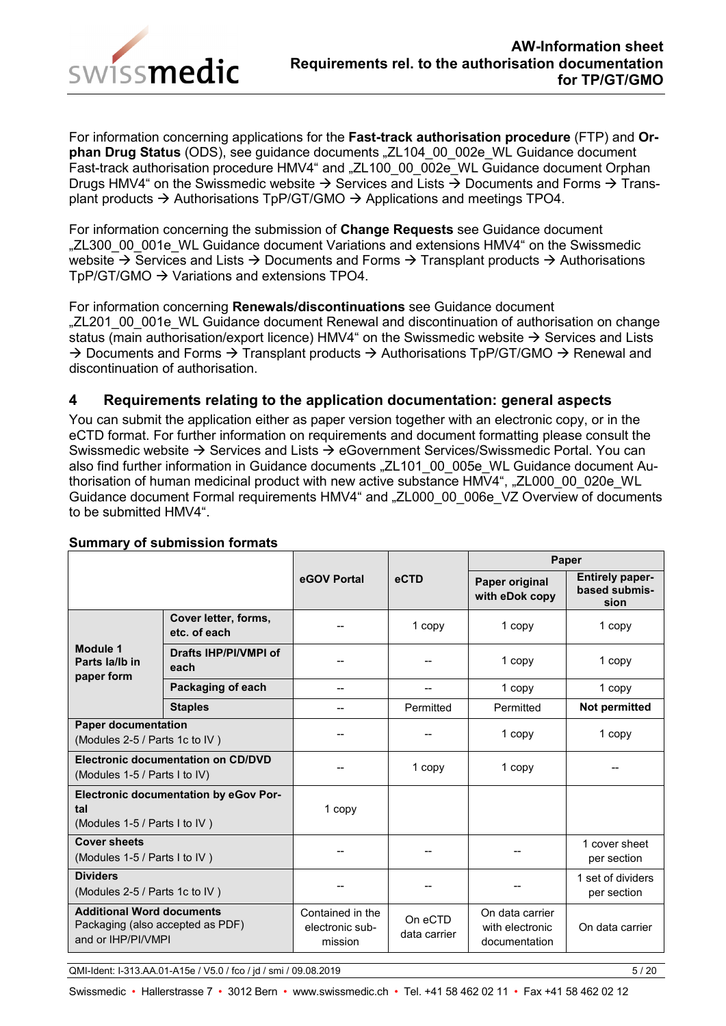

For information concerning applications for the **Fast-track authorisation procedure** (FTP) and **Orphan Drug Status** (ODS), see guidance documents "ZL104\_00\_002e\_WL Guidance document Fast-track authorisation procedure HMV4" and "ZL100\_00\_002e\_WL Guidance document Orphan Drugs HMV4" on the Swissmedic website  $\rightarrow$  Services and Lists  $\rightarrow$  Documents and Forms  $\rightarrow$  Transplant products  $\rightarrow$  Authorisations TpP/GT/GMO  $\rightarrow$  Applications and meetings TPO4.

For information concerning the submission of **Change Requests** see Guidance document "ZL300\_00\_001e\_WL Guidance document Variations and extensions HMV4" on the Swissmedic website  $\rightarrow$  Services and Lists  $\rightarrow$  Documents and Forms  $\rightarrow$  Transplant products  $\rightarrow$  Authorisations  $TpP/GT/GMO \rightarrow Variations$  and extensions TPO4.

For information concerning **Renewals/discontinuations** see Guidance document "ZL201\_00\_001e\_WL Guidance document Renewal and discontinuation of authorisation on change status (main authorisation/export licence) HMV4" on the Swissmedic website  $\rightarrow$  Services and Lists  $\rightarrow$  Documents and Forms  $\rightarrow$  Transplant products  $\rightarrow$  Authorisations TpP/GT/GMO  $\rightarrow$  Renewal and discontinuation of authorisation.

## <span id="page-4-0"></span>**4 Requirements relating to the application documentation: general aspects**

You can submit the application either as paper version together with an electronic copy, or in the eCTD format. For further information on requirements and document formatting please consult the Swissmedic website  $\rightarrow$  Services and Lists  $\rightarrow$  eGovernment Services/Swissmedic Portal. You can also find further information in Guidance documents "ZL101\_00\_005e\_WL Guidance document Authorisation of human medicinal product with new active substance HMV4", "ZL000\_00\_020e\_WL Guidance document Formal requirements HMV4" and "ZL000\_00\_006e\_VZ Overview of documents to be submitted HMV4".

|                                                                                            |                                      |                                                |                         | Paper                                               |                                                 |
|--------------------------------------------------------------------------------------------|--------------------------------------|------------------------------------------------|-------------------------|-----------------------------------------------------|-------------------------------------------------|
|                                                                                            |                                      | eGOV Portal                                    | eCTD                    | Paper original<br>with eDok copy                    | <b>Entirely paper-</b><br>based submis-<br>sion |
|                                                                                            | Cover letter, forms,<br>etc. of each |                                                | 1 copy                  | 1 copy                                              | 1 copy                                          |
| Module 1<br>Parts la/lb in<br>paper form                                                   | Drafts IHP/PI/VMPI of<br>each        |                                                |                         | 1 copy                                              | 1 copy                                          |
|                                                                                            | Packaging of each                    |                                                |                         | 1 copy                                              | 1 copy                                          |
|                                                                                            | <b>Staples</b>                       | --                                             | Permitted               | Permitted                                           | Not permitted                                   |
| <b>Paper documentation</b><br>(Modules 2-5 / Parts 1c to IV)                               |                                      |                                                |                         | 1 copy                                              | 1 copy                                          |
| <b>Electronic documentation on CD/DVD</b><br>(Modules 1-5 / Parts I to IV)                 |                                      |                                                | 1 copy                  | 1 copy                                              |                                                 |
| <b>Electronic documentation by eGov Por-</b><br>tal<br>(Modules 1-5 / Parts I to IV)       |                                      | 1 copy                                         |                         |                                                     |                                                 |
| <b>Cover sheets</b><br>(Modules 1-5 / Parts I to IV)                                       |                                      |                                                |                         |                                                     | 1 cover sheet<br>per section                    |
| <b>Dividers</b><br>(Modules 2-5 / Parts 1c to IV)                                          |                                      |                                                |                         |                                                     | 1 set of dividers<br>per section                |
| <b>Additional Word documents</b><br>Packaging (also accepted as PDF)<br>and or IHP/PI/VMPI |                                      | Contained in the<br>electronic sub-<br>mission | On eCTD<br>data carrier | On data carrier<br>with electronic<br>documentation | On data carrier                                 |

#### **Summary of submission formats**

QMI-Ident: I-313.AA.01-A15e / V5.0 / fco / jd / smi / 09.08.2019 5 / 20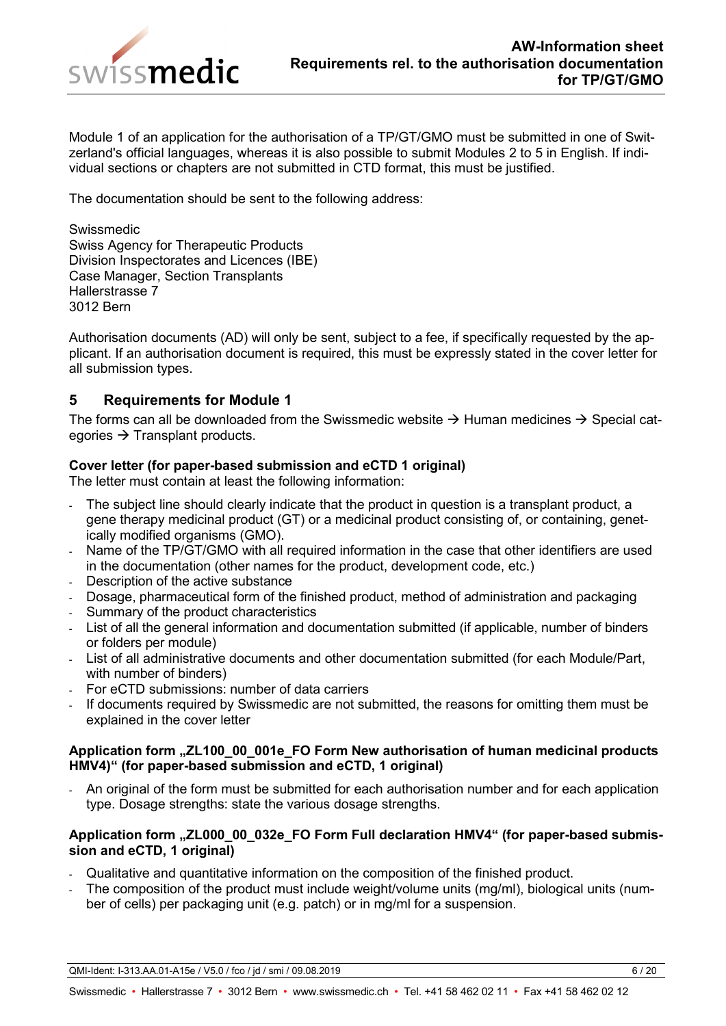

Module 1 of an application for the authorisation of a TP/GT/GMO must be submitted in one of Switzerland's official languages, whereas it is also possible to submit Modules 2 to 5 in English. If individual sections or chapters are not submitted in CTD format, this must be justified.

The documentation should be sent to the following address:

Swissmedic Swiss Agency for Therapeutic Products Division Inspectorates and Licences (IBE) Case Manager, Section Transplants Hallerstrasse 7 3012 Bern

Authorisation documents (AD) will only be sent, subject to a fee, if specifically requested by the applicant. If an authorisation document is required, this must be expressly stated in the cover letter for all submission types.

## <span id="page-5-0"></span>**5 Requirements for Module 1**

The forms can all be downloaded from the Swissmedic website  $\rightarrow$  Human medicines  $\rightarrow$  Special categories  $\rightarrow$  Transplant products.

## **Cover letter (for paper-based submission and eCTD 1 original)**

The letter must contain at least the following information:

- The subject line should clearly indicate that the product in question is a transplant product, a gene therapy medicinal product (GT) or a medicinal product consisting of, or containing, genetically modified organisms (GMO).
- Name of the TP/GT/GMO with all required information in the case that other identifiers are used in the documentation (other names for the product, development code, etc.)
- Description of the active substance
- Dosage, pharmaceutical form of the finished product, method of administration and packaging
- Summary of the product characteristics
- List of all the general information and documentation submitted (if applicable, number of binders or folders per module)
- List of all administrative documents and other documentation submitted (for each Module/Part, with number of binders)
- For eCTD submissions: number of data carriers
- If documents required by Swissmedic are not submitted, the reasons for omitting them must be explained in the cover letter

## **Application form "ZL100\_00\_001e\_FO Form New authorisation of human medicinal products HMV4)" (for paper-based submission and eCTD, 1 original)**

- An original of the form must be submitted for each authorisation number and for each application type. Dosage strengths: state the various dosage strengths.

## Application form "ZL000 00 032e FO Form Full declaration HMV4" (for paper-based submis**sion and eCTD, 1 original)**

- Qualitative and quantitative information on the composition of the finished product.
- The composition of the product must include weight/volume units (mg/ml), biological units (number of cells) per packaging unit (e.g. patch) or in mg/ml for a suspension.

QMI-Ident: I-313.AA.01-A15e / V5.0 / fco / jd / smi / 09.08.2019 6 / 20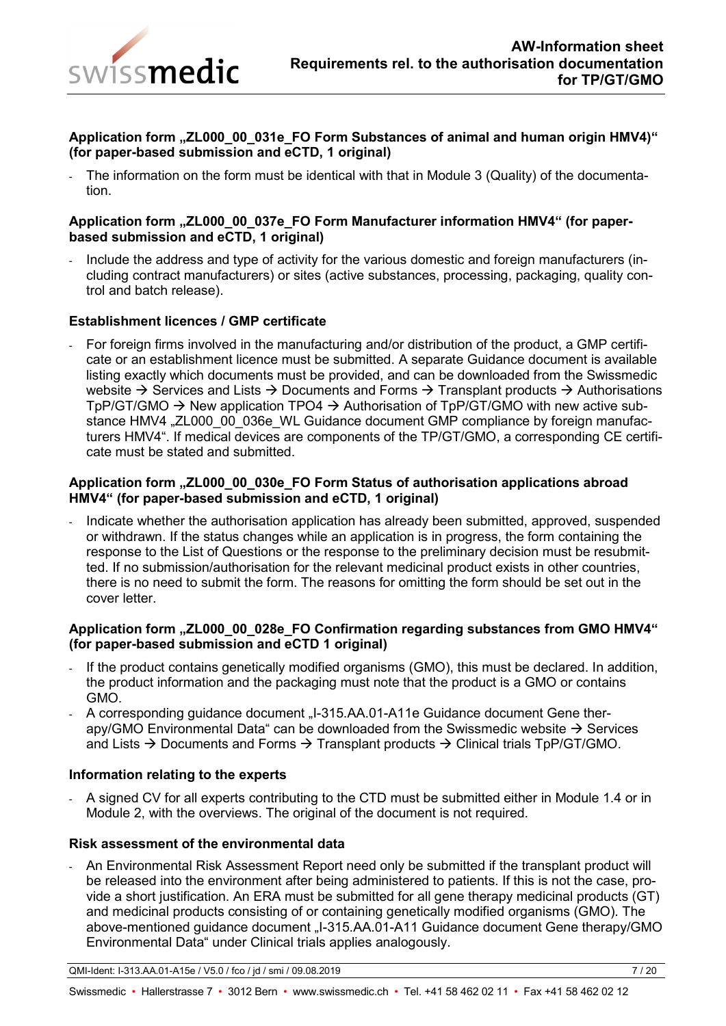

## Application form "ZL000\_00\_031e\_FO Form Substances of animal and human origin HMV4)" **(for paper-based submission and eCTD, 1 original)**

The information on the form must be identical with that in Module 3 (Quality) of the documentation.

#### **Application form "ZL000\_00\_037e\_FO Form Manufacturer information HMV4" (for paperbased submission and eCTD, 1 original)**

Include the address and type of activity for the various domestic and foreign manufacturers (including contract manufacturers) or sites (active substances, processing, packaging, quality control and batch release).

#### **Establishment licences / GMP certificate**

- For foreign firms involved in the manufacturing and/or distribution of the product, a GMP certificate or an establishment licence must be submitted. A separate Guidance document is available listing exactly which documents must be provided, and can be downloaded from the Swissmedic website  $\rightarrow$  Services and Lists  $\rightarrow$  Documents and Forms  $\rightarrow$  Transplant products  $\rightarrow$  Authorisations TpP/GT/GMO  $\rightarrow$  New application TPO4  $\rightarrow$  Authorisation of TpP/GT/GMO with new active substance HMV4 "ZL000\_00\_036e\_WL Guidance document GMP compliance by foreign manufacturers HMV4". If medical devices are components of the TP/GT/GMO, a corresponding CE certificate must be stated and submitted.

#### **Application form "ZL000\_00\_030e\_FO Form Status of authorisation applications abroad HMV4" (for paper-based submission and eCTD, 1 original)**

- Indicate whether the authorisation application has already been submitted, approved, suspended or withdrawn. If the status changes while an application is in progress, the form containing the response to the List of Questions or the response to the preliminary decision must be resubmitted. If no submission/authorisation for the relevant medicinal product exists in other countries, there is no need to submit the form. The reasons for omitting the form should be set out in the cover letter.

## **Application form "ZL000\_00\_028e\_FO Confirmation regarding substances from GMO HMV4" (for paper-based submission and eCTD 1 original)**

- If the product contains genetically modified organisms (GMO), this must be declared. In addition, the product information and the packaging must note that the product is a GMO or contains GMO.
- A corresponding guidance document "I-315.AA.01-A11e Guidance document Gene therapy/GMO Environmental Data" can be downloaded from the Swissmedic website  $\rightarrow$  Services and Lists  $\rightarrow$  Documents and Forms  $\rightarrow$  Transplant products  $\rightarrow$  Clinical trials TpP/GT/GMO.

#### **Information relating to the experts**

- A signed CV for all experts contributing to the CTD must be submitted either in Module 1.4 or in Module 2, with the overviews. The original of the document is not required.

#### **Risk assessment of the environmental data**

- An Environmental Risk Assessment Report need only be submitted if the transplant product will be released into the environment after being administered to patients. If this is not the case, provide a short justification. An ERA must be submitted for all gene therapy medicinal products (GT) and medicinal products consisting of or containing genetically modified organisms (GMO). The above-mentioned guidance document "I-315.AA.01-A11 Guidance document Gene therapy/GMO Environmental Data" under Clinical trials applies analogously.

QMI-Ident: I-313.AA.01-A15e / V5.0 / fco / jd / smi / 09.08.2019 7 / 20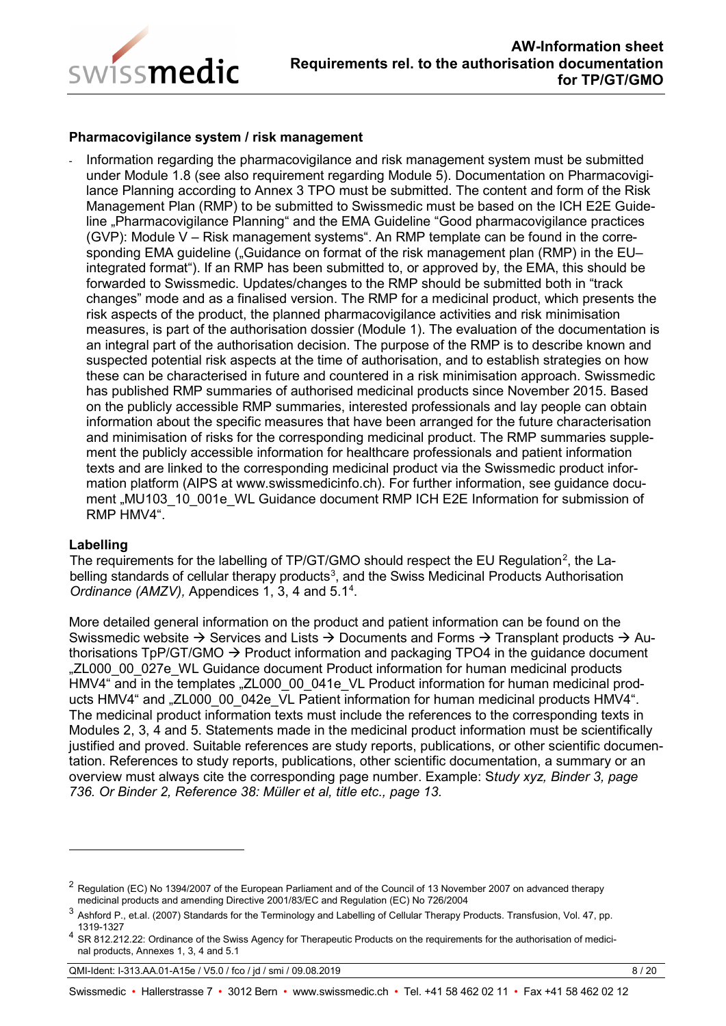

#### **Pharmacovigilance system / risk management**

- Information regarding the pharmacovigilance and risk management system must be submitted under Module 1.8 (see also requirement regarding Module 5). Documentation on Pharmacovigilance Planning according to Annex 3 TPO must be submitted. The content and form of the Risk Management Plan (RMP) to be submitted to Swissmedic must be based on the ICH E2E Guideline "Pharmacovigilance Planning" and the EMA Guideline "Good pharmacovigilance practices (GVP): Module V – Risk management systems". An RMP template can be found in the corresponding EMA guideline (..Guidance on format of the risk management plan (RMP) in the EU– integrated format"). If an RMP has been submitted to, or approved by, the EMA, this should be forwarded to Swissmedic. Updates/changes to the RMP should be submitted both in "track changes" mode and as a finalised version. The RMP for a medicinal product, which presents the risk aspects of the product, the planned pharmacovigilance activities and risk minimisation measures, is part of the authorisation dossier (Module 1). The evaluation of the documentation is an integral part of the authorisation decision. The purpose of the RMP is to describe known and suspected potential risk aspects at the time of authorisation, and to establish strategies on how these can be characterised in future and countered in a risk minimisation approach. Swissmedic has published RMP summaries of authorised medicinal products since November 2015. Based on the publicly accessible RMP summaries, interested professionals and lay people can obtain information about the specific measures that have been arranged for the future characterisation and minimisation of risks for the corresponding medicinal product. The RMP summaries supplement the publicly accessible information for healthcare professionals and patient information texts and are linked to the corresponding medicinal product via the Swissmedic product information platform (AIPS at www.swissmedicinfo.ch). For further information, see guidance document "MU103\_10\_001e\_WL Guidance document RMP ICH E2E Information for submission of RMP HMV4".

#### **Labelling**

-

The requirements for the labelling of TP/GT/GMO should respect the EU Regulation<sup>[2](#page-7-0)</sup>, the La-belling standards of cellular therapy products<sup>[3](#page-7-1)</sup>, and the Swiss Medicinal Products Authorisation *Ordinance (AMZV),* Appendices 1, 3, 4 and 5.1[4](#page-7-2) .

More detailed general information on the product and patient information can be found on the Swissmedic website  $\rightarrow$  Services and Lists  $\rightarrow$  Documents and Forms  $\rightarrow$  Transplant products  $\rightarrow$  Authorisations  $TpP/GT/GMO \rightarrow Product$  information and packaging  $TPO4$  in the guidance document "ZL000\_00\_027e\_WL Guidance document Product information for human medicinal products HMV4" and in the templates "ZL000\_00\_041e\_VL Product information for human medicinal products HMV4" and "ZL000 00 042e VL Patient information for human medicinal products HMV4". The medicinal product information texts must include the references to the corresponding texts in Modules 2, 3, 4 and 5. Statements made in the medicinal product information must be scientifically justified and proved. Suitable references are study reports, publications, or other scientific documentation. References to study reports, publications, other scientific documentation, a summary or an overview must always cite the corresponding page number. Example: S*tudy xyz, Binder 3, page 736. Or Binder 2, Reference 38: Müller et al, title etc., page 13.*

QMI-Ident: I-313.AA.01-A15e / V5.0 / fco / jd / smi / 09.08.2019 8 / 20

<span id="page-7-0"></span> $^2$  Regulation (EC) No 1394/2007 of the European Parliament and of the Council of 13 November 2007 on advanced therapy medicinal products and amending Directive 2001/83/EC and Regulation (EC) No 726/2004

<span id="page-7-1"></span><sup>3</sup> Ashford P., et.al. (2007) Standards for the Terminology and Labelling of Cellular Therapy Products. Transfusion, Vol. 47, pp. 1319-1327

<span id="page-7-2"></span><sup>4</sup> SR 812.212.22: Ordinance of the Swiss Agency for Therapeutic Products on the requirements for the authorisation of medicinal products, Annexes 1, 3, 4 and 5.1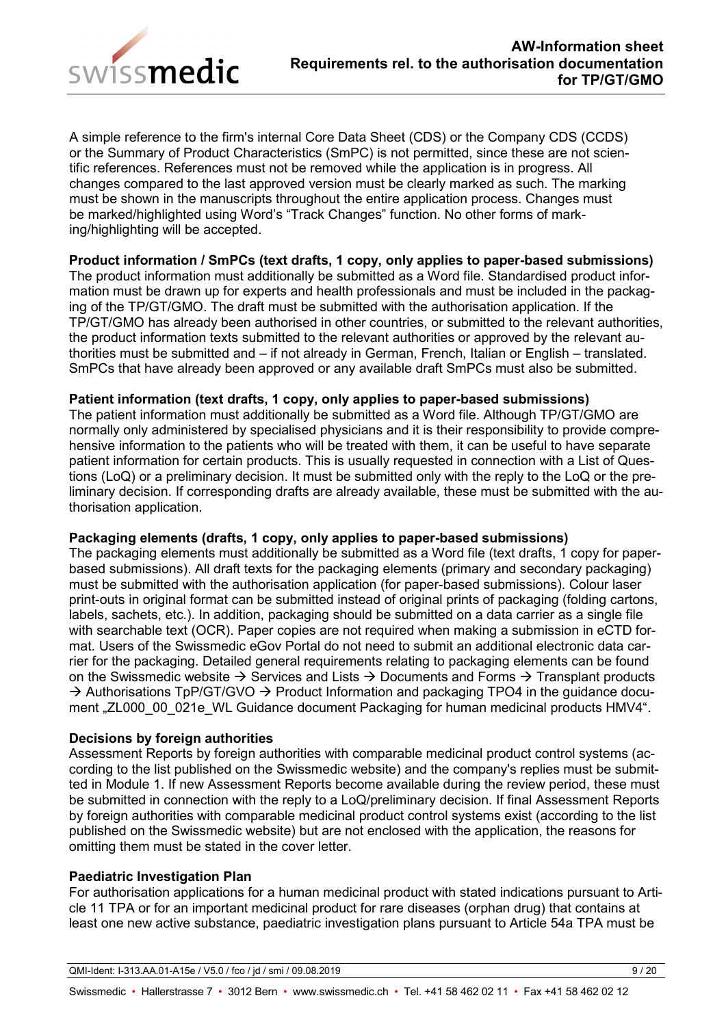

A simple reference to the firm's internal Core Data Sheet (CDS) or the Company CDS (CCDS) or the Summary of Product Characteristics (SmPC) is not permitted, since these are not scientific references. References must not be removed while the application is in progress. All changes compared to the last approved version must be clearly marked as such. The marking must be shown in the manuscripts throughout the entire application process. Changes must be marked/highlighted using Word's "Track Changes" function. No other forms of marking/highlighting will be accepted.

## **Product information / SmPCs (text drafts, 1 copy, only applies to paper-based submissions)**

The product information must additionally be submitted as a Word file. Standardised product information must be drawn up for experts and health professionals and must be included in the packaging of the TP/GT/GMO. The draft must be submitted with the authorisation application. If the TP/GT/GMO has already been authorised in other countries, or submitted to the relevant authorities, the product information texts submitted to the relevant authorities or approved by the relevant authorities must be submitted and – if not already in German, French, Italian or English – translated. SmPCs that have already been approved or any available draft SmPCs must also be submitted.

## **Patient information (text drafts, 1 copy, only applies to paper-based submissions)**

The patient information must additionally be submitted as a Word file. Although TP/GT/GMO are normally only administered by specialised physicians and it is their responsibility to provide comprehensive information to the patients who will be treated with them, it can be useful to have separate patient information for certain products. This is usually requested in connection with a List of Questions (LoQ) or a preliminary decision. It must be submitted only with the reply to the LoQ or the preliminary decision. If corresponding drafts are already available, these must be submitted with the authorisation application.

## **Packaging elements (drafts, 1 copy, only applies to paper-based submissions)**

The packaging elements must additionally be submitted as a Word file (text drafts, 1 copy for paperbased submissions). All draft texts for the packaging elements (primary and secondary packaging) must be submitted with the authorisation application (for paper-based submissions). Colour laser print-outs in original format can be submitted instead of original prints of packaging (folding cartons, labels, sachets, etc.). In addition, packaging should be submitted on a data carrier as a single file with searchable text (OCR). Paper copies are not required when making a submission in eCTD format. Users of the Swissmedic eGov Portal do not need to submit an additional electronic data carrier for the packaging. Detailed general requirements relating to packaging elements can be found on the Swissmedic website  $\rightarrow$  Services and Lists  $\rightarrow$  Documents and Forms  $\rightarrow$  Transplant products  $\rightarrow$  Authorisations TpP/GT/GVO  $\rightarrow$  Product Information and packaging TPO4 in the guidance document "ZL000 00 021e WL Guidance document Packaging for human medicinal products HMV4".

## **Decisions by foreign authorities**

Assessment Reports by foreign authorities with comparable medicinal product control systems (according to the list published on the Swissmedic website) and the company's replies must be submitted in Module 1. If new Assessment Reports become available during the review period, these must be submitted in connection with the reply to a LoQ/preliminary decision. If final Assessment Reports by foreign authorities with comparable medicinal product control systems exist (according to the list published on the Swissmedic website) but are not enclosed with the application, the reasons for omitting them must be stated in the cover letter.

## **Paediatric Investigation Plan**

For authorisation applications for a human medicinal product with stated indications pursuant to Article 11 TPA or for an important medicinal product for rare diseases (orphan drug) that contains at least one new active substance, paediatric investigation plans pursuant to Article 54a TPA must be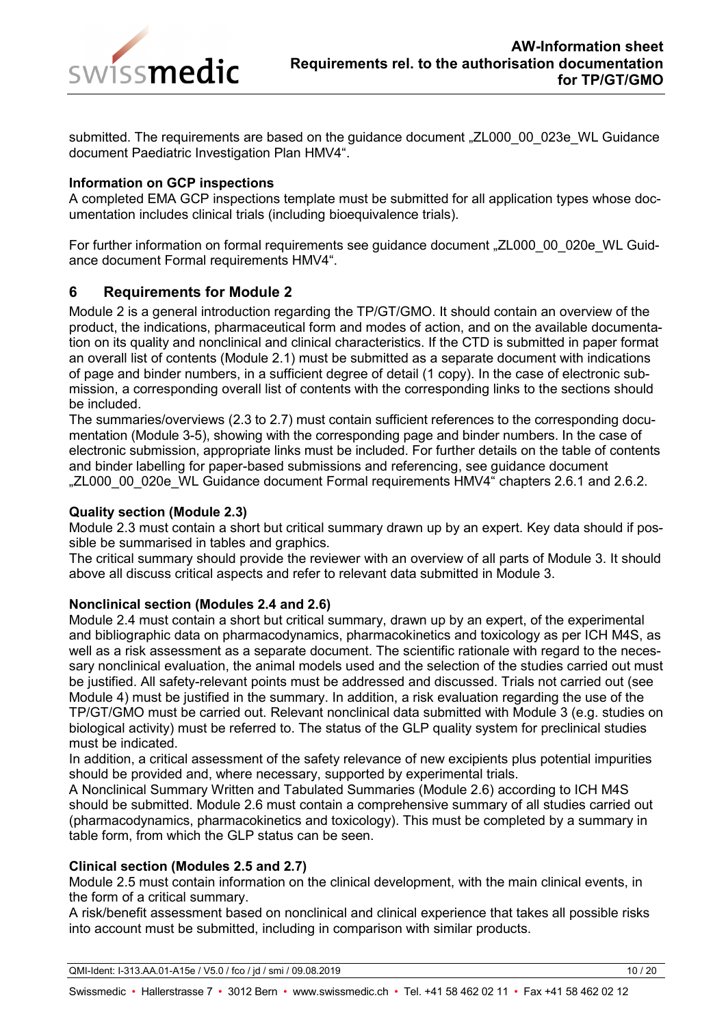

submitted. The requirements are based on the guidance document "ZL000\_00\_023e\_WL Guidance document Paediatric Investigation Plan HMV4".

## **Information on GCP inspections**

A completed EMA GCP inspections template must be submitted for all application types whose documentation includes clinical trials (including bioequivalence trials).

For further information on formal requirements see guidance document "ZL000\_00\_020e\_WL Guidance document Formal requirements HMV4".

## <span id="page-9-0"></span>**6 Requirements for Module 2**

Module 2 is a general introduction regarding the TP/GT/GMO. It should contain an overview of the product, the indications, pharmaceutical form and modes of action, and on the available documentation on its quality and nonclinical and clinical characteristics. If the CTD is submitted in paper format an overall list of contents (Module 2.1) must be submitted as a separate document with indications of page and binder numbers, in a sufficient degree of detail (1 copy). In the case of electronic submission, a corresponding overall list of contents with the corresponding links to the sections should be included.

The summaries/overviews (2.3 to 2.7) must contain sufficient references to the corresponding documentation (Module 3-5), showing with the corresponding page and binder numbers. In the case of electronic submission, appropriate links must be included. For further details on the table of contents and binder labelling for paper-based submissions and referencing, see guidance document "ZL000\_00\_020e\_WL Guidance document Formal requirements HMV4" chapters 2.6.1 and 2.6.2.

#### **Quality section (Module 2.3)**

Module 2.3 must contain a short but critical summary drawn up by an expert. Key data should if possible be summarised in tables and graphics.

The critical summary should provide the reviewer with an overview of all parts of Module 3. It should above all discuss critical aspects and refer to relevant data submitted in Module 3.

## **Nonclinical section (Modules 2.4 and 2.6)**

Module 2.4 must contain a short but critical summary, drawn up by an expert, of the experimental and bibliographic data on pharmacodynamics, pharmacokinetics and toxicology as per ICH M4S, as well as a risk assessment as a separate document. The scientific rationale with regard to the necessary nonclinical evaluation, the animal models used and the selection of the studies carried out must be justified. All safety-relevant points must be addressed and discussed. Trials not carried out (see Module 4) must be justified in the summary. In addition, a risk evaluation regarding the use of the TP/GT/GMO must be carried out. Relevant nonclinical data submitted with Module 3 (e.g. studies on biological activity) must be referred to. The status of the GLP quality system for preclinical studies must be indicated.

In addition, a critical assessment of the safety relevance of new excipients plus potential impurities should be provided and, where necessary, supported by experimental trials.

A Nonclinical Summary Written and Tabulated Summaries (Module 2.6) according to ICH M4S should be submitted. Module 2.6 must contain a comprehensive summary of all studies carried out (pharmacodynamics, pharmacokinetics and toxicology). This must be completed by a summary in table form, from which the GLP status can be seen.

## **Clinical section (Modules 2.5 and 2.7)**

Module 2.5 must contain information on the clinical development, with the main clinical events, in the form of a critical summary.

A risk/benefit assessment based on nonclinical and clinical experience that takes all possible risks into account must be submitted, including in comparison with similar products.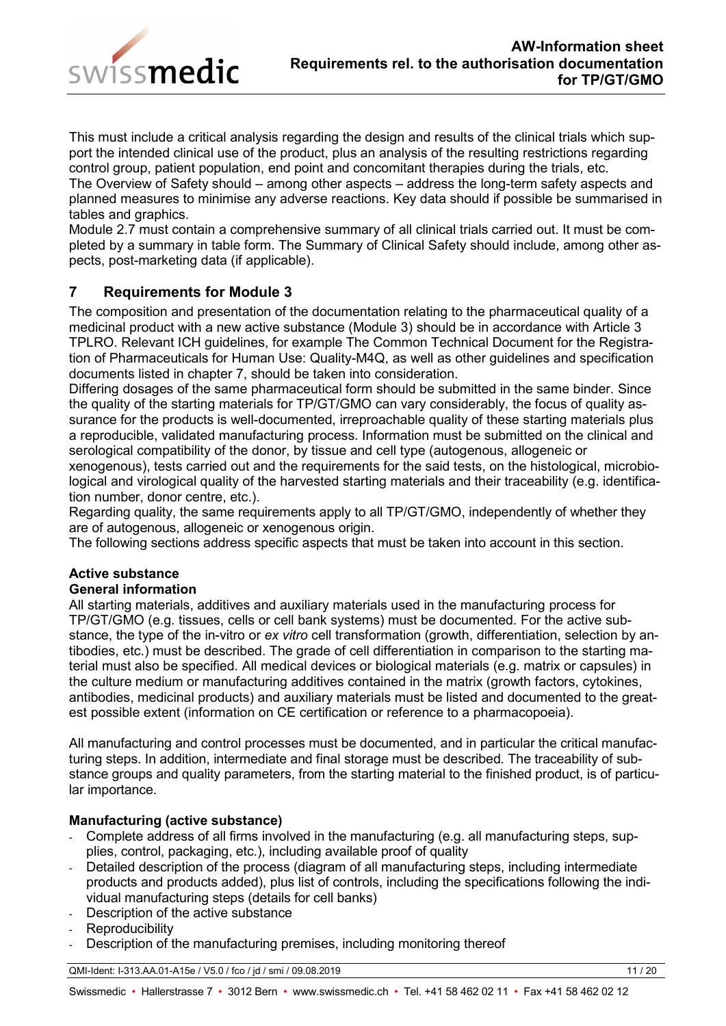

This must include a critical analysis regarding the design and results of the clinical trials which support the intended clinical use of the product, plus an analysis of the resulting restrictions regarding control group, patient population, end point and concomitant therapies during the trials, etc. The Overview of Safety should – among other aspects – address the long-term safety aspects and planned measures to minimise any adverse reactions. Key data should if possible be summarised in tables and graphics.

Module 2.7 must contain a comprehensive summary of all clinical trials carried out. It must be completed by a summary in table form. The Summary of Clinical Safety should include, among other aspects, post-marketing data (if applicable).

## <span id="page-10-0"></span>**7 Requirements for Module 3**

The composition and presentation of the documentation relating to the pharmaceutical quality of a medicinal product with a new active substance (Module 3) should be in accordance with Article 3 TPLRO. Relevant ICH guidelines, for example The Common Technical Document for the Registration of Pharmaceuticals for Human Use: Quality-M4Q, as well as other guidelines and specification documents listed in chapter 7, should be taken into consideration.

Differing dosages of the same pharmaceutical form should be submitted in the same binder. Since the quality of the starting materials for TP/GT/GMO can vary considerably, the focus of quality assurance for the products is well-documented, irreproachable quality of these starting materials plus a reproducible, validated manufacturing process. Information must be submitted on the clinical and serological compatibility of the donor, by tissue and cell type (autogenous, allogeneic or xenogenous), tests carried out and the requirements for the said tests, on the histological, microbiological and virological quality of the harvested starting materials and their traceability (e.g. identification number, donor centre, etc.).

Regarding quality, the same requirements apply to all TP/GT/GMO, independently of whether they are of autogenous, allogeneic or xenogenous origin.

The following sections address specific aspects that must be taken into account in this section.

# **Active substance**

## **General information**

All starting materials, additives and auxiliary materials used in the manufacturing process for TP/GT/GMO (e.g. tissues, cells or cell bank systems) must be documented. For the active substance, the type of the in-vitro or *ex vitro* cell transformation (growth, differentiation, selection by antibodies, etc.) must be described. The grade of cell differentiation in comparison to the starting material must also be specified. All medical devices or biological materials (e.g. matrix or capsules) in the culture medium or manufacturing additives contained in the matrix (growth factors, cytokines, antibodies, medicinal products) and auxiliary materials must be listed and documented to the greatest possible extent (information on CE certification or reference to a pharmacopoeia).

All manufacturing and control processes must be documented, and in particular the critical manufacturing steps. In addition, intermediate and final storage must be described. The traceability of substance groups and quality parameters, from the starting material to the finished product, is of particular importance.

## **Manufacturing (active substance)**

- Complete address of all firms involved in the manufacturing (e.g. all manufacturing steps, supplies, control, packaging, etc.), including available proof of quality
- Detailed description of the process (diagram of all manufacturing steps, including intermediate products and products added), plus list of controls, including the specifications following the individual manufacturing steps (details for cell banks)
- Description of the active substance
- Reproducibility
- Description of the manufacturing premises, including monitoring thereof

QMI-Ident: I-313.AA.01-A15e / V5.0 / fco / jd / smi / 09.08.2019 11 / 20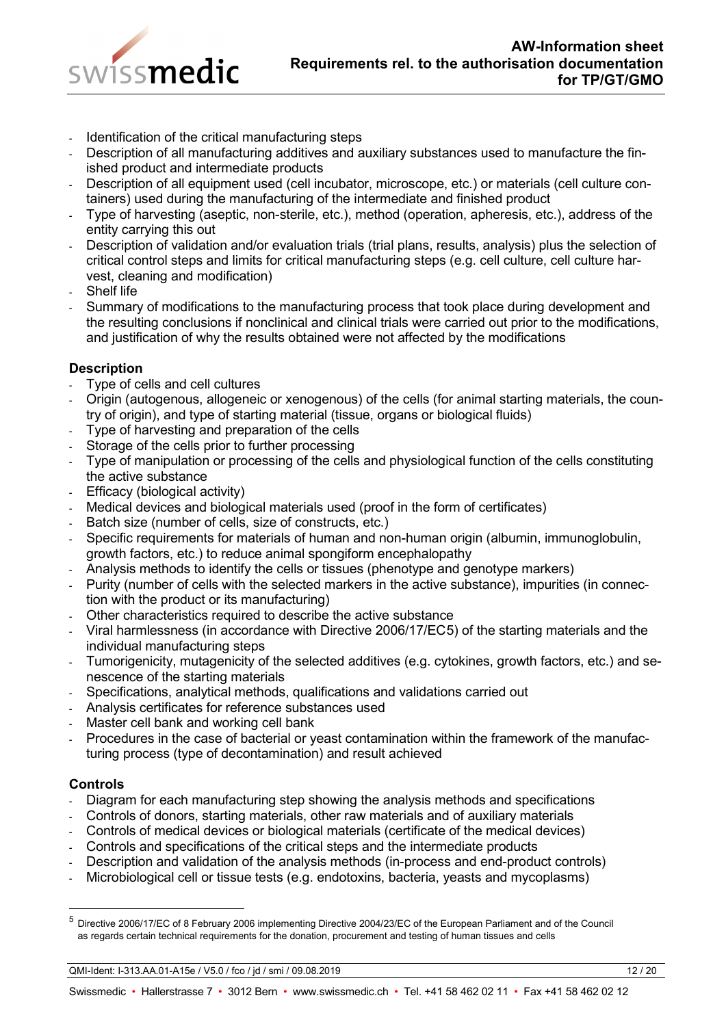

- Identification of the critical manufacturing steps
- Description of all manufacturing additives and auxiliary substances used to manufacture the finished product and intermediate products
- Description of all equipment used (cell incubator, microscope, etc.) or materials (cell culture containers) used during the manufacturing of the intermediate and finished product
- Type of harvesting (aseptic, non-sterile, etc.), method (operation, apheresis, etc.), address of the entity carrying this out
- Description of validation and/or evaluation trials (trial plans, results, analysis) plus the selection of critical control steps and limits for critical manufacturing steps (e.g. cell culture, cell culture harvest, cleaning and modification)
- Shelf life
- Summary of modifications to the manufacturing process that took place during development and the resulting conclusions if nonclinical and clinical trials were carried out prior to the modifications, and justification of why the results obtained were not affected by the modifications

## **Description**

- Type of cells and cell cultures
- Origin (autogenous, allogeneic or xenogenous) of the cells (for animal starting materials, the country of origin), and type of starting material (tissue, organs or biological fluids)
- Type of harvesting and preparation of the cells
- Storage of the cells prior to further processing
- Type of manipulation or processing of the cells and physiological function of the cells constituting the active substance
- Efficacy (biological activity)
- Medical devices and biological materials used (proof in the form of certificates)
- Batch size (number of cells, size of constructs, etc.)
- Specific requirements for materials of human and non-human origin (albumin, immunoglobulin, growth factors, etc.) to reduce animal spongiform encephalopathy
- Analysis methods to identify the cells or tissues (phenotype and genotype markers)
- Purity (number of cells with the selected markers in the active substance), impurities (in connection with the product or its manufacturing)
- Other characteristics required to describe the active substance
- Viral harmlessness (in accordance with Directive 2006/17/EC[5](#page-11-0)) of the starting materials and the individual manufacturing steps
- Tumorigenicity, mutagenicity of the selected additives (e.g. cytokines, growth factors, etc.) and senescence of the starting materials
- Specifications, analytical methods, qualifications and validations carried out
- Analysis certificates for reference substances used
- Master cell bank and working cell bank
- Procedures in the case of bacterial or yeast contamination within the framework of the manufacturing process (type of decontamination) and result achieved

## **Controls**

- Diagram for each manufacturing step showing the analysis methods and specifications
- Controls of donors, starting materials, other raw materials and of auxiliary materials
- Controls of medical devices or biological materials (certificate of the medical devices)
- Controls and specifications of the critical steps and the intermediate products
- Description and validation of the analysis methods (in-process and end-product controls)
- Microbiological cell or tissue tests (e.g. endotoxins, bacteria, yeasts and mycoplasms)

QMI-Ident: I-313.AA.01-A15e / V5.0 / fco / jd / smi / 09.08.2019 12 / 20

<span id="page-11-0"></span> <sup>5</sup> Directive 2006/17/EC of 8 February 2006 implementing Directive 2004/23/EC of the European Parliament and of the Council as regards certain technical requirements for the donation, procurement and testing of human tissues and cells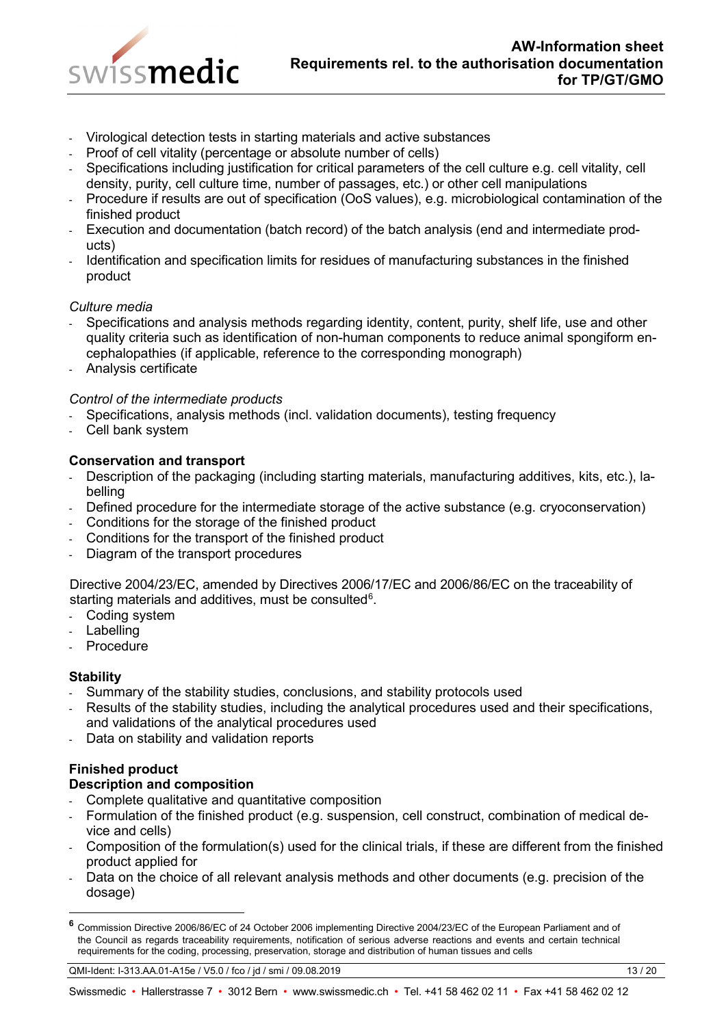

- Virological detection tests in starting materials and active substances
- Proof of cell vitality (percentage or absolute number of cells)
- Specifications including justification for critical parameters of the cell culture e.g. cell vitality, cell density, purity, cell culture time, number of passages, etc.) or other cell manipulations
- Procedure if results are out of specification (OoS values), e.g. microbiological contamination of the finished product
- Execution and documentation (batch record) of the batch analysis (end and intermediate products)
- Identification and specification limits for residues of manufacturing substances in the finished product

## *Culture media*

- Specifications and analysis methods regarding identity, content, purity, shelf life, use and other quality criteria such as identification of non-human components to reduce animal spongiform encephalopathies (if applicable, reference to the corresponding monograph)
- Analysis certificate

## *Control of the intermediate products*

- Specifications, analysis methods (incl. validation documents), testing frequency
- Cell bank system

## **Conservation and transport**

- Description of the packaging (including starting materials, manufacturing additives, kits, etc.), labelling
- Defined procedure for the intermediate storage of the active substance (e.g. cryoconservation)
- Conditions for the storage of the finished product
- Conditions for the transport of the finished product
- Diagram of the transport procedures

Directive 2004/23/EC, amended by Directives 2006/17/EC and 2006/86/EC on the traceability of starting materials and additives, must be consulted<sup>[6](#page-12-0)</sup>.

- Coding system
- Labelling
- Procedure

## **Stability**

-

- Summary of the stability studies, conclusions, and stability protocols used
- Results of the stability studies, including the analytical procedures used and their specifications, and validations of the analytical procedures used
- Data on stability and validation reports

# **Finished product**

## **Description and composition**

- Complete qualitative and quantitative composition
- Formulation of the finished product (e.g. suspension, cell construct, combination of medical device and cells)
- Composition of the formulation(s) used for the clinical trials, if these are different from the finished product applied for
- Data on the choice of all relevant analysis methods and other documents (e.g. precision of the dosage)

<span id="page-12-0"></span>**<sup>6</sup>** Commission Directive 2006/86/EC of 24 October 2006 implementing Directive 2004/23/EC of the European Parliament and of the Council as regards traceability requirements, notification of serious adverse reactions and events and certain technical requirements for the coding, processing, preservation, storage and distribution of human tissues and cells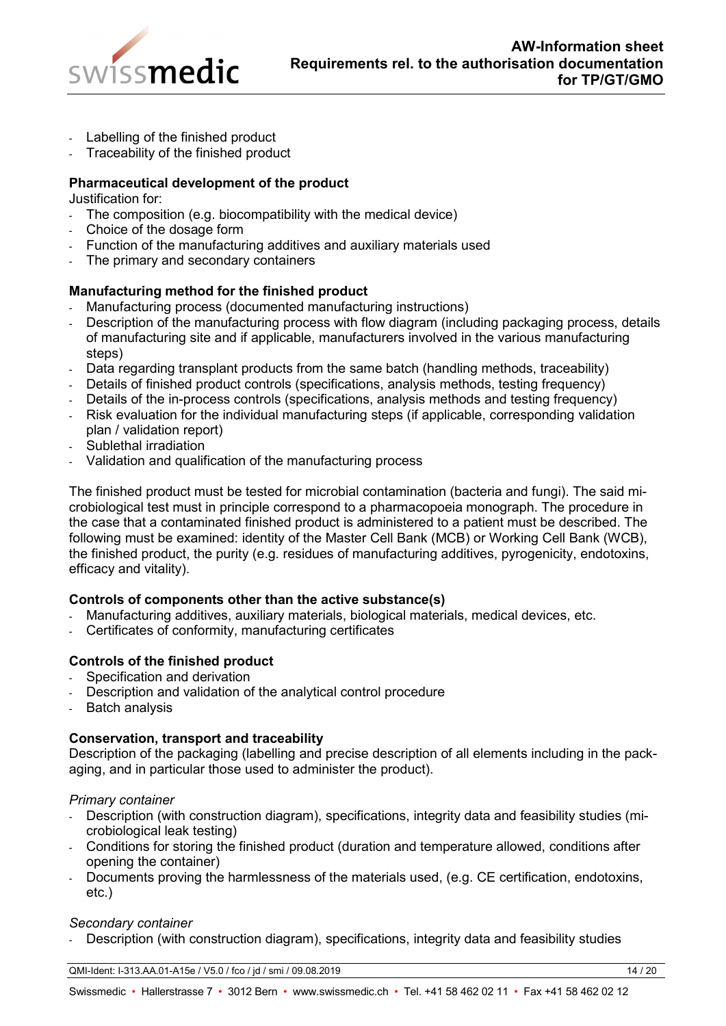

- Labelling of the finished product
- Traceability of the finished product

## **Pharmaceutical development of the product**

Justification for:

- The composition (e.g. biocompatibility with the medical device)
- Choice of the dosage form
- Function of the manufacturing additives and auxiliary materials used
- The primary and secondary containers

## **Manufacturing method for the finished product**

- Manufacturing process (documented manufacturing instructions)
- Description of the manufacturing process with flow diagram (including packaging process, details of manufacturing site and if applicable, manufacturers involved in the various manufacturing steps)
- Data regarding transplant products from the same batch (handling methods, traceability)
- Details of finished product controls (specifications, analysis methods, testing frequency)
- Details of the in-process controls (specifications, analysis methods and testing frequency)
- Risk evaluation for the individual manufacturing steps (if applicable, corresponding validation plan / validation report)
- Sublethal irradiation
- Validation and qualification of the manufacturing process

The finished product must be tested for microbial contamination (bacteria and fungi). The said microbiological test must in principle correspond to a pharmacopoeia monograph. The procedure in the case that a contaminated finished product is administered to a patient must be described. The following must be examined: identity of the Master Cell Bank (MCB) or Working Cell Bank (WCB), the finished product, the purity (e.g. residues of manufacturing additives, pyrogenicity, endotoxins, efficacy and vitality).

## **Controls of components other than the active substance(s)**

- Manufacturing additives, auxiliary materials, biological materials, medical devices, etc.
- Certificates of conformity, manufacturing certificates

## **Controls of the finished product**

- Specification and derivation
- Description and validation of the analytical control procedure
- Batch analysis

## **Conservation, transport and traceability**

Description of the packaging (labelling and precise description of all elements including in the packaging, and in particular those used to administer the product).

#### *Primary container*

- Description (with construction diagram), specifications, integrity data and feasibility studies (microbiological leak testing)
- Conditions for storing the finished product (duration and temperature allowed, conditions after opening the container)
- Documents proving the harmlessness of the materials used, (e.g. CE certification, endotoxins, etc.)

#### *Secondary container*

Description (with construction diagram), specifications, integrity data and feasibility studies

QMI-Ident: I-313.AA.01-A15e / V5.0 / fco / jd / smi / 09.08.2019 14 / 20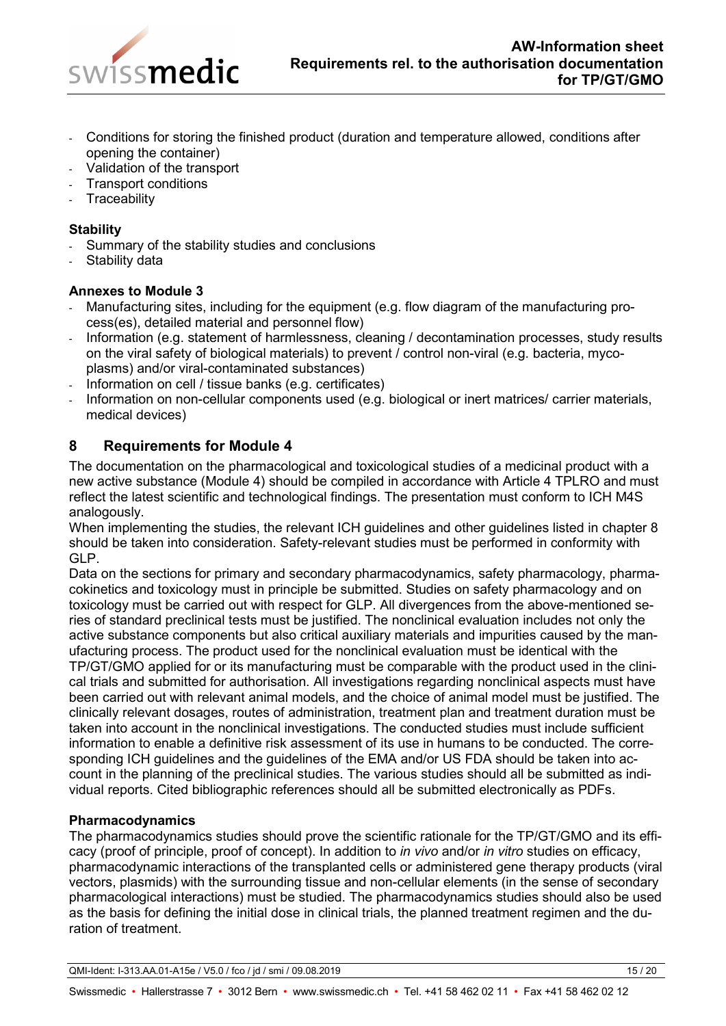

- Conditions for storing the finished product (duration and temperature allowed, conditions after opening the container)
- Validation of the transport
- Transport conditions
- **Traceability**

## **Stability**

- Summary of the stability studies and conclusions
- Stability data

## **Annexes to Module 3**

- Manufacturing sites, including for the equipment (e.g. flow diagram of the manufacturing process(es), detailed material and personnel flow)
- Information (e.g. statement of harmlessness, cleaning / decontamination processes, study results on the viral safety of biological materials) to prevent / control non-viral (e.g. bacteria, mycoplasms) and/or viral-contaminated substances)
- Information on cell / tissue banks (e.g. certificates)
- Information on non-cellular components used (e.g. biological or inert matrices/ carrier materials, medical devices)

# <span id="page-14-0"></span>**8 Requirements for Module 4**

The documentation on the pharmacological and toxicological studies of a medicinal product with a new active substance (Module 4) should be compiled in accordance with Article 4 TPLRO and must reflect the latest scientific and technological findings. The presentation must conform to ICH M4S analogously.

When implementing the studies, the relevant ICH guidelines and other guidelines listed in chapter 8 should be taken into consideration. Safety-relevant studies must be performed in conformity with GLP.

Data on the sections for primary and secondary pharmacodynamics, safety pharmacology, pharmacokinetics and toxicology must in principle be submitted. Studies on safety pharmacology and on toxicology must be carried out with respect for GLP. All divergences from the above-mentioned series of standard preclinical tests must be justified. The nonclinical evaluation includes not only the active substance components but also critical auxiliary materials and impurities caused by the manufacturing process. The product used for the nonclinical evaluation must be identical with the TP/GT/GMO applied for or its manufacturing must be comparable with the product used in the clinical trials and submitted for authorisation. All investigations regarding nonclinical aspects must have been carried out with relevant animal models, and the choice of animal model must be justified. The clinically relevant dosages, routes of administration, treatment plan and treatment duration must be taken into account in the nonclinical investigations. The conducted studies must include sufficient information to enable a definitive risk assessment of its use in humans to be conducted. The corresponding ICH guidelines and the guidelines of the EMA and/or US FDA should be taken into account in the planning of the preclinical studies. The various studies should all be submitted as individual reports. Cited bibliographic references should all be submitted electronically as PDFs.

## **Pharmacodynamics**

The pharmacodynamics studies should prove the scientific rationale for the TP/GT/GMO and its efficacy (proof of principle, proof of concept). In addition to *in vivo* and/or *in vitro* studies on efficacy, pharmacodynamic interactions of the transplanted cells or administered gene therapy products (viral vectors, plasmids) with the surrounding tissue and non-cellular elements (in the sense of secondary pharmacological interactions) must be studied. The pharmacodynamics studies should also be used as the basis for defining the initial dose in clinical trials, the planned treatment regimen and the duration of treatment.

QMI-Ident: I-313.AA.01-A15e / V5.0 / fco / jd / smi / 09.08.2019 15 / 20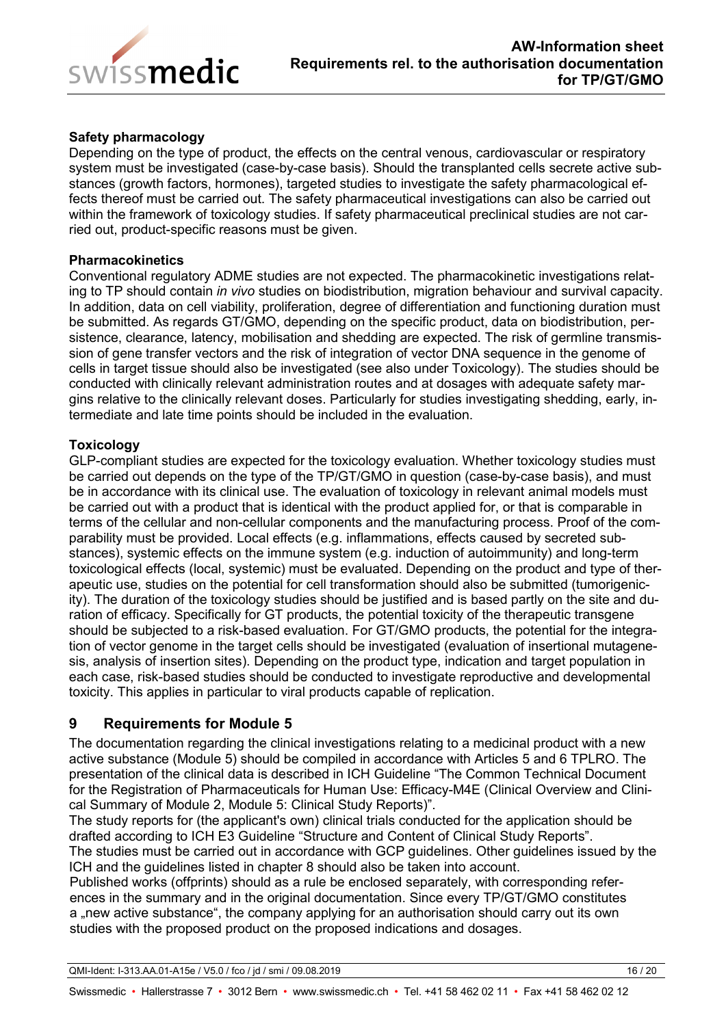

## **Safety pharmacology**

Depending on the type of product, the effects on the central venous, cardiovascular or respiratory system must be investigated (case-by-case basis). Should the transplanted cells secrete active substances (growth factors, hormones), targeted studies to investigate the safety pharmacological effects thereof must be carried out. The safety pharmaceutical investigations can also be carried out within the framework of toxicology studies. If safety pharmaceutical preclinical studies are not carried out, product-specific reasons must be given.

#### **Pharmacokinetics**

Conventional regulatory ADME studies are not expected. The pharmacokinetic investigations relating to TP should contain *in vivo* studies on biodistribution, migration behaviour and survival capacity. In addition, data on cell viability, proliferation, degree of differentiation and functioning duration must be submitted. As regards GT/GMO, depending on the specific product, data on biodistribution, persistence, clearance, latency, mobilisation and shedding are expected. The risk of germline transmission of gene transfer vectors and the risk of integration of vector DNA sequence in the genome of cells in target tissue should also be investigated (see also under Toxicology). The studies should be conducted with clinically relevant administration routes and at dosages with adequate safety margins relative to the clinically relevant doses. Particularly for studies investigating shedding, early, intermediate and late time points should be included in the evaluation.

## **Toxicology**

GLP-compliant studies are expected for the toxicology evaluation. Whether toxicology studies must be carried out depends on the type of the TP/GT/GMO in question (case-by-case basis), and must be in accordance with its clinical use. The evaluation of toxicology in relevant animal models must be carried out with a product that is identical with the product applied for, or that is comparable in terms of the cellular and non-cellular components and the manufacturing process. Proof of the comparability must be provided. Local effects (e.g. inflammations, effects caused by secreted substances), systemic effects on the immune system (e.g. induction of autoimmunity) and long-term toxicological effects (local, systemic) must be evaluated. Depending on the product and type of therapeutic use, studies on the potential for cell transformation should also be submitted (tumorigenicity). The duration of the toxicology studies should be justified and is based partly on the site and duration of efficacy. Specifically for GT products, the potential toxicity of the therapeutic transgene should be subjected to a risk-based evaluation. For GT/GMO products, the potential for the integration of vector genome in the target cells should be investigated (evaluation of insertional mutagenesis, analysis of insertion sites). Depending on the product type, indication and target population in each case, risk-based studies should be conducted to investigate reproductive and developmental toxicity. This applies in particular to viral products capable of replication.

## <span id="page-15-0"></span>**9 Requirements for Module 5**

The documentation regarding the clinical investigations relating to a medicinal product with a new active substance (Module 5) should be compiled in accordance with Articles 5 and 6 TPLRO. The presentation of the clinical data is described in ICH Guideline "The Common Technical Document for the Registration of Pharmaceuticals for Human Use: Efficacy-M4E (Clinical Overview and Clinical Summary of Module 2, Module 5: Clinical Study Reports)".

The study reports for (the applicant's own) clinical trials conducted for the application should be drafted according to ICH E3 Guideline "Structure and Content of Clinical Study Reports".

The studies must be carried out in accordance with GCP guidelines. Other guidelines issued by the ICH and the guidelines listed in chapter 8 should also be taken into account.

Published works (offprints) should as a rule be enclosed separately, with corresponding references in the summary and in the original documentation. Since every TP/GT/GMO constitutes a "new active substance", the company applying for an authorisation should carry out its own studies with the proposed product on the proposed indications and dosages.

QMI-Ident: I-313.AA.01-A15e / V5.0 / fco / jd / smi / 09.08.2019 16 / 20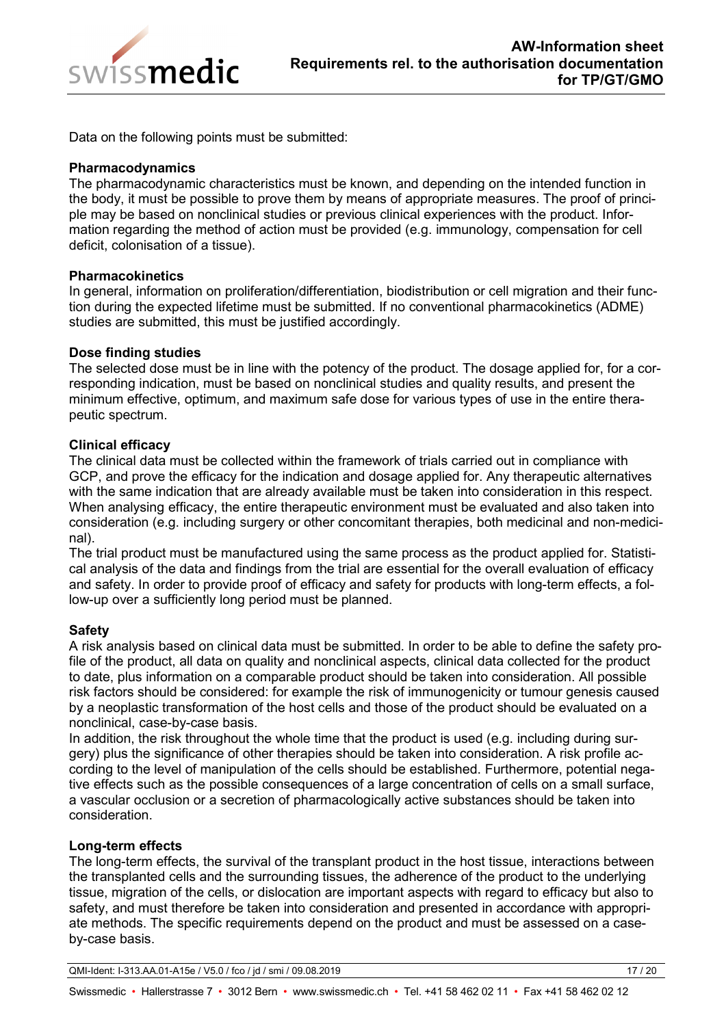

Data on the following points must be submitted:

#### **Pharmacodynamics**

The pharmacodynamic characteristics must be known, and depending on the intended function in the body, it must be possible to prove them by means of appropriate measures. The proof of principle may be based on nonclinical studies or previous clinical experiences with the product. Information regarding the method of action must be provided (e.g. immunology, compensation for cell deficit, colonisation of a tissue).

#### **Pharmacokinetics**

In general, information on proliferation/differentiation, biodistribution or cell migration and their function during the expected lifetime must be submitted. If no conventional pharmacokinetics (ADME) studies are submitted, this must be justified accordingly.

#### **Dose finding studies**

The selected dose must be in line with the potency of the product. The dosage applied for, for a corresponding indication, must be based on nonclinical studies and quality results, and present the minimum effective, optimum, and maximum safe dose for various types of use in the entire therapeutic spectrum.

#### **Clinical efficacy**

The clinical data must be collected within the framework of trials carried out in compliance with GCP, and prove the efficacy for the indication and dosage applied for. Any therapeutic alternatives with the same indication that are already available must be taken into consideration in this respect. When analysing efficacy, the entire therapeutic environment must be evaluated and also taken into consideration (e.g. including surgery or other concomitant therapies, both medicinal and non-medicinal).

The trial product must be manufactured using the same process as the product applied for. Statistical analysis of the data and findings from the trial are essential for the overall evaluation of efficacy and safety. In order to provide proof of efficacy and safety for products with long-term effects, a follow-up over a sufficiently long period must be planned.

## **Safety**

A risk analysis based on clinical data must be submitted. In order to be able to define the safety profile of the product, all data on quality and nonclinical aspects, clinical data collected for the product to date, plus information on a comparable product should be taken into consideration. All possible risk factors should be considered: for example the risk of immunogenicity or tumour genesis caused by a neoplastic transformation of the host cells and those of the product should be evaluated on a nonclinical, case-by-case basis.

In addition, the risk throughout the whole time that the product is used (e.g. including during surgery) plus the significance of other therapies should be taken into consideration. A risk profile according to the level of manipulation of the cells should be established. Furthermore, potential negative effects such as the possible consequences of a large concentration of cells on a small surface, a vascular occlusion or a secretion of pharmacologically active substances should be taken into consideration.

## **Long-term effects**

The long-term effects, the survival of the transplant product in the host tissue, interactions between the transplanted cells and the surrounding tissues, the adherence of the product to the underlying tissue, migration of the cells, or dislocation are important aspects with regard to efficacy but also to safety, and must therefore be taken into consideration and presented in accordance with appropriate methods. The specific requirements depend on the product and must be assessed on a caseby-case basis.

QMI-Ident: I-313.AA.01-A15e / V5.0 / fco / jd / smi / 09.08.2019 17 / 20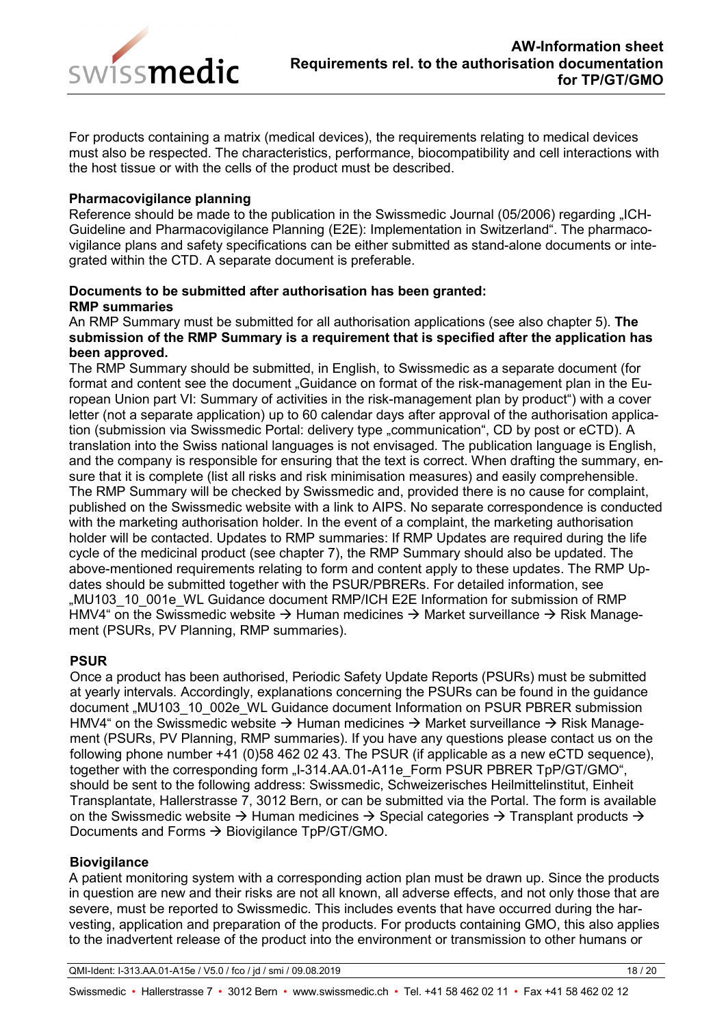

For products containing a matrix (medical devices), the requirements relating to medical devices must also be respected. The characteristics, performance, biocompatibility and cell interactions with the host tissue or with the cells of the product must be described.

#### **Pharmacovigilance planning**

Reference should be made to the publication in the Swissmedic Journal (05/2006) regarding "ICH-Guideline and Pharmacovigilance Planning (E2E): Implementation in Switzerland". The pharmacovigilance plans and safety specifications can be either submitted as stand-alone documents or integrated within the CTD. A separate document is preferable.

#### **Documents to be submitted after authorisation has been granted: RMP summaries**

An RMP Summary must be submitted for all authorisation applications (see also chapter 5). **The submission of the RMP Summary is a requirement that is specified after the application has been approved.**

The RMP Summary should be submitted, in English, to Swissmedic as a separate document (for format and content see the document "Guidance on format of the risk-management plan in the European Union part VI: Summary of activities in the risk-management plan by product") with a cover letter (not a separate application) up to 60 calendar days after approval of the authorisation application (submission via Swissmedic Portal: delivery type "communication", CD by post or eCTD). A translation into the Swiss national languages is not envisaged. The publication language is English, and the company is responsible for ensuring that the text is correct. When drafting the summary, ensure that it is complete (list all risks and risk minimisation measures) and easily comprehensible. The RMP Summary will be checked by Swissmedic and, provided there is no cause for complaint, published on the Swissmedic website with a link to AIPS. No separate correspondence is conducted with the marketing authorisation holder. In the event of a complaint, the marketing authorisation holder will be contacted. Updates to RMP summaries: If RMP Updates are required during the life cycle of the medicinal product (see chapter 7), the RMP Summary should also be updated. The above-mentioned requirements relating to form and content apply to these updates. The RMP Updates should be submitted together with the PSUR/PBRERs. For detailed information, see "MU103\_10\_001e\_WL Guidance document RMP/ICH E2E Information for submission of RMP HMV4" on the Swissmedic website  $\rightarrow$  Human medicines  $\rightarrow$  Market surveillance  $\rightarrow$  Risk Management (PSURs, PV Planning, RMP summaries).

## **PSUR**

Once a product has been authorised, Periodic Safety Update Reports (PSURs) must be submitted at yearly intervals. Accordingly, explanations concerning the PSURs can be found in the guidance document "MU103\_10\_002e\_WL Guidance document Information on PSUR PBRER submission HMV4" on the Swissmedic website  $\rightarrow$  Human medicines  $\rightarrow$  Market surveillance  $\rightarrow$  Risk Management (PSURs, PV Planning, RMP summaries). If you have any questions please contact us on the following phone number  $+41$  (0)58 462 02 43. The PSUR (if applicable as a new eCTD sequence), together with the corresponding form ...I-314.AA.01-A11e Form PSUR PBRER TpP/GT/GMO", should be sent to the following address: Swissmedic, Schweizerisches Heilmittelinstitut, Einheit Transplantate, Hallerstrasse 7, 3012 Bern, or can be submitted via the Portal. The form is available on the Swissmedic website  $\rightarrow$  Human medicines  $\rightarrow$  Special categories  $\rightarrow$  Transplant products  $\rightarrow$ Documents and Forms  $\rightarrow$  Biovigilance TpP/GT/GMO.

## **Biovigilance**

A patient monitoring system with a corresponding action plan must be drawn up. Since the products in question are new and their risks are not all known, all adverse effects, and not only those that are severe, must be reported to Swissmedic. This includes events that have occurred during the harvesting, application and preparation of the products. For products containing GMO, this also applies to the inadvertent release of the product into the environment or transmission to other humans or

QMI-Ident: I-313.AA.01-A15e / V5.0 / fco / jd / smi / 09.08.2019 18 / 20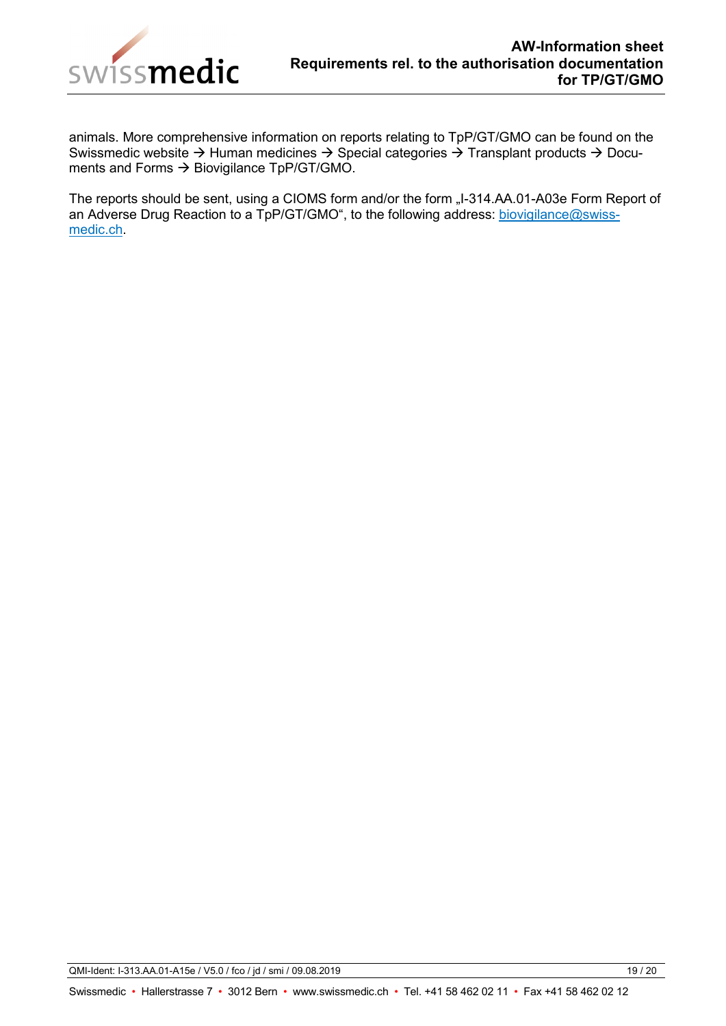

animals. More comprehensive information on reports relating to TpP/GT/GMO can be found on the Swissmedic website  $\rightarrow$  Human medicines  $\rightarrow$  Special categories  $\rightarrow$  Transplant products  $\rightarrow$  Documents and Forms  $\rightarrow$  Biovigilance TpP/GT/GMO.

The reports should be sent, using a CIOMS form and/or the form "I-314.AA.01-A03e Form Report of an Adverse Drug Reaction to a TpP/GT/GMO", to the following address: [biovigilance@swiss](mailto:biovigilance@swissmedic.ch)[medic.ch.](mailto:biovigilance@swissmedic.ch)

QMI-Ident: I-313.AA.01-A15e / V5.0 / fco / jd / smi / 09.08.2019 19 / 20 19 19 / 20